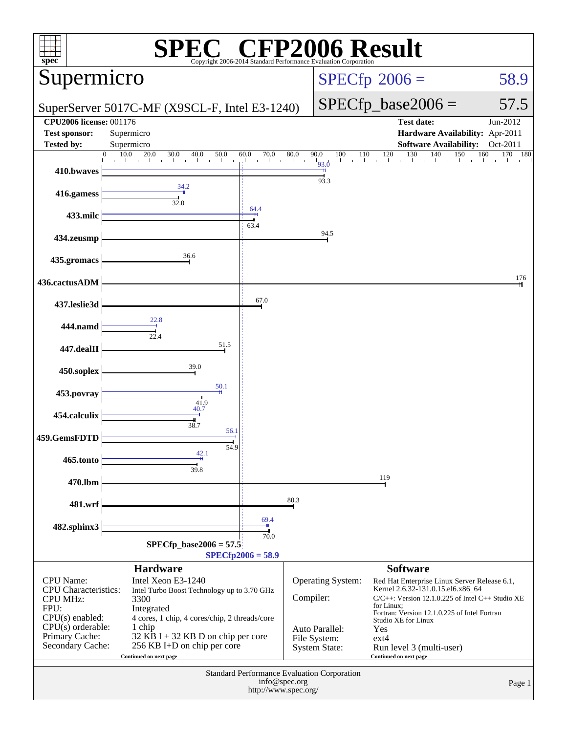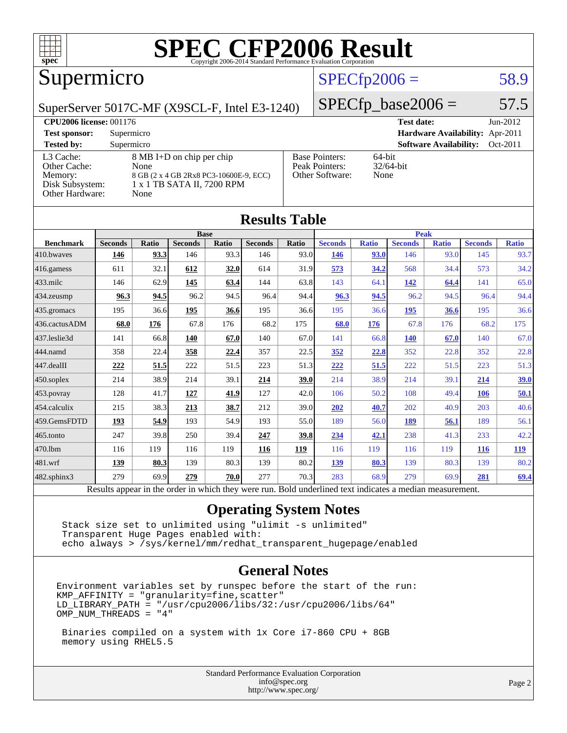

### Supermicro

#### $SPECfp2006 = 58.9$  $SPECfp2006 = 58.9$

SuperServer 5017C-MF (X9SCL-F, Intel E3-1240)

 $SPECTp\_base2006 = 57.5$ 

| <b>CPU2006 license: 001176</b>                                             |                                                                                                                   |                                                            | <b>Test date:</b><br>$Jun-2012$           |
|----------------------------------------------------------------------------|-------------------------------------------------------------------------------------------------------------------|------------------------------------------------------------|-------------------------------------------|
| <b>Test sponsor:</b>                                                       | Supermicro                                                                                                        |                                                            | Hardware Availability: Apr-2011           |
| <b>Tested by:</b>                                                          | Supermicro                                                                                                        |                                                            | <b>Software Availability:</b><br>Oct-2011 |
| L3 Cache:<br>Other Cache:<br>Memory:<br>Disk Subsystem:<br>Other Hardware: | 8 MB I+D on chip per chip<br>None<br>8 GB (2 x 4 GB 2Rx8 PC3-10600E-9, ECC)<br>1 x 1 TB SATA II, 7200 RPM<br>None | <b>Base Pointers:</b><br>Peak Pointers:<br>Other Software: | $64$ -bit<br>$32/64$ -bit<br>None         |

**[Results Table](http://www.spec.org/auto/cpu2006/Docs/result-fields.html#ResultsTable)**

|                        |                                                                                                          |              |                |       | Results Table  |       |                |              |                |              |                |              |
|------------------------|----------------------------------------------------------------------------------------------------------|--------------|----------------|-------|----------------|-------|----------------|--------------|----------------|--------------|----------------|--------------|
| <b>Base</b>            |                                                                                                          |              |                |       | <b>Peak</b>    |       |                |              |                |              |                |              |
| <b>Benchmark</b>       | <b>Seconds</b>                                                                                           | <b>Ratio</b> | <b>Seconds</b> | Ratio | <b>Seconds</b> | Ratio | <b>Seconds</b> | <b>Ratio</b> | <b>Seconds</b> | <b>Ratio</b> | <b>Seconds</b> | <b>Ratio</b> |
| 410.bwaves             | 146                                                                                                      | 93.3         | 146            | 93.3  | 146            | 93.0  | 146            | 93.0         | 146            | 93.0         | 145            | 93.7         |
| $416$ .gamess          | 611                                                                                                      | 32.1         | 612            | 32.0  | 614            | 31.9  | 573            | 34.2         | 568            | 34.4         | 573            | 34.2         |
| $433$ .milc            | 146                                                                                                      | 62.9         | 145            | 63.4  | 144            | 63.8  | 143            | 64.1         | 142            | 64.4         | 141            | 65.0         |
| 434.zeusmp             | 96.3                                                                                                     | 94.5         | 96.2           | 94.5  | 96.4           | 94.4  | 96.3           | 94.5         | 96.2           | 94.5         | 96.4           | 94.4         |
| $435$ .gromacs         | 195                                                                                                      | 36.6         | 195            | 36.6  | 195            | 36.6  | 195            | 36.6         | 195            | 36.6         | 195            | 36.6         |
| 436.cactusADM          | 68.0                                                                                                     | 176          | 67.8           | 176   | 68.2           | 175   | 68.0           | 176          | 67.8           | 176          | 68.2           | 175          |
| 437.leslie3d           | 141                                                                                                      | 66.8         | 140            | 67.0  | 140            | 67.0  | 141            | 66.8         | <b>140</b>     | 67.0         | 140            | 67.0         |
| 444.namd               | 358                                                                                                      | 22.4         | 358            | 22.4  | 357            | 22.5  | 352            | 22.8         | 352            | 22.8         | 352            | 22.8         |
| $ 447 \text{.}$ dealII | 222                                                                                                      | 51.5         | 222            | 51.5  | 223            | 51.3  | 222            | 51.5         | 222            | 51.5         | 223            | 51.3         |
| $450$ .soplex          | 214                                                                                                      | 38.9         | 214            | 39.1  | 214            | 39.0  | 214            | 38.9         | 214            | 39.1         | 214            | <u>39.0</u>  |
| $ 453$ . povray        | 128                                                                                                      | 41.7         | 127            | 41.9  | 127            | 42.0  | 106            | 50.2         | 108            | 49.4         | 106            | 50.1         |
| 454.calculix           | 215                                                                                                      | 38.3         | 213            | 38.7  | 212            | 39.0  | 202            | 40.7         | 202            | 40.9         | 203            | 40.6         |
| 459.GemsFDTD           | 193                                                                                                      | 54.9         | 193            | 54.9  | 193            | 55.0  | 189            | 56.0         | 189            | 56.1         | 189            | 56.1         |
| $ 465$ .tonto          | 247                                                                                                      | 39.8         | 250            | 39.4  | 247            | 39.8  | 234            | 42.1         | 238            | 41.3         | 233            | 42.2         |
| 470.1bm                | 116                                                                                                      | 119          | 116            | 119   | 116            | 119   | 116            | 119          | 116            | 119          | <b>116</b>     | <u>119</u>   |
| 481.wrf                | 139                                                                                                      | 80.3         | 139            | 80.3  | 139            | 80.2  | 139            | 80.3         | 139            | 80.3         | 139            | 80.2         |
| 482.sphinx3            | 279                                                                                                      | 69.9         | 279            | 70.0  | 277            | 70.3  | 283            | 68.9         | 279            | 69.9         | 281            | 69.4         |
|                        | Results appear in the order in which they were run. Bold underlined text indicates a median measurement. |              |                |       |                |       |                |              |                |              |                |              |

#### **[Operating System Notes](http://www.spec.org/auto/cpu2006/Docs/result-fields.html#OperatingSystemNotes)**

 Stack size set to unlimited using "ulimit -s unlimited" Transparent Huge Pages enabled with: echo always > /sys/kernel/mm/redhat\_transparent\_hugepage/enabled

#### **[General Notes](http://www.spec.org/auto/cpu2006/Docs/result-fields.html#GeneralNotes)**

Environment variables set by runspec before the start of the run: KMP\_AFFINITY = "granularity=fine,scatter" LD\_LIBRARY\_PATH = "/usr/cpu2006/libs/32:/usr/cpu2006/libs/64" OMP\_NUM\_THREADS = "4"

 Binaries compiled on a system with 1x Core i7-860 CPU + 8GB memory using RHEL5.5

> Standard Performance Evaluation Corporation [info@spec.org](mailto:info@spec.org) <http://www.spec.org/>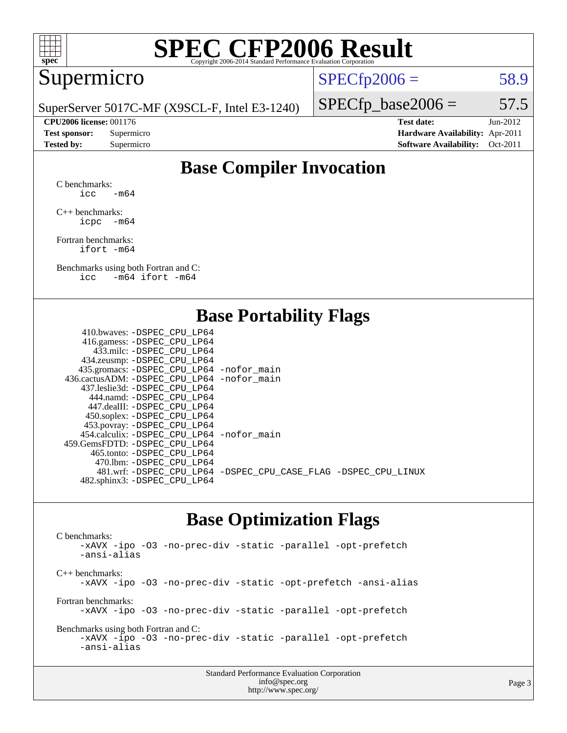

#### Supermicro

 $SPECTp2006 = 58.9$ 

SuperServer 5017C-MF (X9SCL-F, Intel E3-1240)

 $SPECTp\_base2006 = 57.5$ 

**[CPU2006 license:](http://www.spec.org/auto/cpu2006/Docs/result-fields.html#CPU2006license)** 001176 **[Test date:](http://www.spec.org/auto/cpu2006/Docs/result-fields.html#Testdate)** Jun-2012 **[Test sponsor:](http://www.spec.org/auto/cpu2006/Docs/result-fields.html#Testsponsor)** Supermicro **[Hardware Availability:](http://www.spec.org/auto/cpu2006/Docs/result-fields.html#HardwareAvailability)** Apr-2011 **[Tested by:](http://www.spec.org/auto/cpu2006/Docs/result-fields.html#Testedby)** Supermicro **[Software Availability:](http://www.spec.org/auto/cpu2006/Docs/result-fields.html#SoftwareAvailability)** Oct-2011

#### **[Base Compiler Invocation](http://www.spec.org/auto/cpu2006/Docs/result-fields.html#BaseCompilerInvocation)**

[C benchmarks](http://www.spec.org/auto/cpu2006/Docs/result-fields.html#Cbenchmarks):  $\text{icc}$  -m64

[C++ benchmarks:](http://www.spec.org/auto/cpu2006/Docs/result-fields.html#CXXbenchmarks) [icpc -m64](http://www.spec.org/cpu2006/results/res2012q3/cpu2006-20120618-23039.flags.html#user_CXXbase_intel_icpc_64bit_bedb90c1146cab66620883ef4f41a67e)

[Fortran benchmarks](http://www.spec.org/auto/cpu2006/Docs/result-fields.html#Fortranbenchmarks): [ifort -m64](http://www.spec.org/cpu2006/results/res2012q3/cpu2006-20120618-23039.flags.html#user_FCbase_intel_ifort_64bit_ee9d0fb25645d0210d97eb0527dcc06e)

[Benchmarks using both Fortran and C](http://www.spec.org/auto/cpu2006/Docs/result-fields.html#BenchmarksusingbothFortranandC): [icc -m64](http://www.spec.org/cpu2006/results/res2012q3/cpu2006-20120618-23039.flags.html#user_CC_FCbase_intel_icc_64bit_0b7121f5ab7cfabee23d88897260401c) [ifort -m64](http://www.spec.org/cpu2006/results/res2012q3/cpu2006-20120618-23039.flags.html#user_CC_FCbase_intel_ifort_64bit_ee9d0fb25645d0210d97eb0527dcc06e)

#### **[Base Portability Flags](http://www.spec.org/auto/cpu2006/Docs/result-fields.html#BasePortabilityFlags)**

| 410.bwaves: -DSPEC CPU LP64                 |                                                                |
|---------------------------------------------|----------------------------------------------------------------|
| 416.gamess: - DSPEC_CPU_LP64                |                                                                |
| 433.milc: -DSPEC CPU LP64                   |                                                                |
| 434.zeusmp: -DSPEC_CPU_LP64                 |                                                                |
| 435.gromacs: -DSPEC_CPU_LP64 -nofor_main    |                                                                |
| 436.cactusADM: -DSPEC CPU LP64 -nofor main  |                                                                |
| 437.leslie3d: -DSPEC CPU LP64               |                                                                |
| 444.namd: - DSPEC CPU LP64                  |                                                                |
| 447.dealII: -DSPEC CPU LP64                 |                                                                |
| 450.soplex: -DSPEC_CPU_LP64                 |                                                                |
| 453.povray: -DSPEC_CPU_LP64                 |                                                                |
| 454.calculix: - DSPEC CPU LP64 - nofor main |                                                                |
| 459.GemsFDTD: -DSPEC CPU LP64               |                                                                |
| 465.tonto: - DSPEC_CPU LP64                 |                                                                |
| 470.1bm: - DSPEC CPU LP64                   |                                                                |
|                                             | 481.wrf: -DSPEC_CPU_LP64 -DSPEC_CPU_CASE_FLAG -DSPEC_CPU_LINUX |
| 482.sphinx3: -DSPEC_CPU_LP64                |                                                                |
|                                             |                                                                |

#### **[Base Optimization Flags](http://www.spec.org/auto/cpu2006/Docs/result-fields.html#BaseOptimizationFlags)**

[C benchmarks](http://www.spec.org/auto/cpu2006/Docs/result-fields.html#Cbenchmarks): [-xAVX](http://www.spec.org/cpu2006/results/res2012q3/cpu2006-20120618-23039.flags.html#user_CCbase_f-xAVX) [-ipo](http://www.spec.org/cpu2006/results/res2012q3/cpu2006-20120618-23039.flags.html#user_CCbase_f-ipo) [-O3](http://www.spec.org/cpu2006/results/res2012q3/cpu2006-20120618-23039.flags.html#user_CCbase_f-O3) [-no-prec-div](http://www.spec.org/cpu2006/results/res2012q3/cpu2006-20120618-23039.flags.html#user_CCbase_f-no-prec-div) [-static](http://www.spec.org/cpu2006/results/res2012q3/cpu2006-20120618-23039.flags.html#user_CCbase_f-static) [-parallel](http://www.spec.org/cpu2006/results/res2012q3/cpu2006-20120618-23039.flags.html#user_CCbase_f-parallel) [-opt-prefetch](http://www.spec.org/cpu2006/results/res2012q3/cpu2006-20120618-23039.flags.html#user_CCbase_f-opt-prefetch) [-ansi-alias](http://www.spec.org/cpu2006/results/res2012q3/cpu2006-20120618-23039.flags.html#user_CCbase_f-ansi-alias) [C++ benchmarks:](http://www.spec.org/auto/cpu2006/Docs/result-fields.html#CXXbenchmarks) [-xAVX](http://www.spec.org/cpu2006/results/res2012q3/cpu2006-20120618-23039.flags.html#user_CXXbase_f-xAVX) [-ipo](http://www.spec.org/cpu2006/results/res2012q3/cpu2006-20120618-23039.flags.html#user_CXXbase_f-ipo) [-O3](http://www.spec.org/cpu2006/results/res2012q3/cpu2006-20120618-23039.flags.html#user_CXXbase_f-O3) [-no-prec-div](http://www.spec.org/cpu2006/results/res2012q3/cpu2006-20120618-23039.flags.html#user_CXXbase_f-no-prec-div) [-static](http://www.spec.org/cpu2006/results/res2012q3/cpu2006-20120618-23039.flags.html#user_CXXbase_f-static) [-opt-prefetch](http://www.spec.org/cpu2006/results/res2012q3/cpu2006-20120618-23039.flags.html#user_CXXbase_f-opt-prefetch) [-ansi-alias](http://www.spec.org/cpu2006/results/res2012q3/cpu2006-20120618-23039.flags.html#user_CXXbase_f-ansi-alias) [Fortran benchmarks](http://www.spec.org/auto/cpu2006/Docs/result-fields.html#Fortranbenchmarks): [-xAVX](http://www.spec.org/cpu2006/results/res2012q3/cpu2006-20120618-23039.flags.html#user_FCbase_f-xAVX) [-ipo](http://www.spec.org/cpu2006/results/res2012q3/cpu2006-20120618-23039.flags.html#user_FCbase_f-ipo) [-O3](http://www.spec.org/cpu2006/results/res2012q3/cpu2006-20120618-23039.flags.html#user_FCbase_f-O3) [-no-prec-div](http://www.spec.org/cpu2006/results/res2012q3/cpu2006-20120618-23039.flags.html#user_FCbase_f-no-prec-div) [-static](http://www.spec.org/cpu2006/results/res2012q3/cpu2006-20120618-23039.flags.html#user_FCbase_f-static) [-parallel](http://www.spec.org/cpu2006/results/res2012q3/cpu2006-20120618-23039.flags.html#user_FCbase_f-parallel) [-opt-prefetch](http://www.spec.org/cpu2006/results/res2012q3/cpu2006-20120618-23039.flags.html#user_FCbase_f-opt-prefetch) [Benchmarks using both Fortran and C](http://www.spec.org/auto/cpu2006/Docs/result-fields.html#BenchmarksusingbothFortranandC): [-xAVX](http://www.spec.org/cpu2006/results/res2012q3/cpu2006-20120618-23039.flags.html#user_CC_FCbase_f-xAVX) [-ipo](http://www.spec.org/cpu2006/results/res2012q3/cpu2006-20120618-23039.flags.html#user_CC_FCbase_f-ipo) [-O3](http://www.spec.org/cpu2006/results/res2012q3/cpu2006-20120618-23039.flags.html#user_CC_FCbase_f-O3) [-no-prec-div](http://www.spec.org/cpu2006/results/res2012q3/cpu2006-20120618-23039.flags.html#user_CC_FCbase_f-no-prec-div) [-static](http://www.spec.org/cpu2006/results/res2012q3/cpu2006-20120618-23039.flags.html#user_CC_FCbase_f-static) [-parallel](http://www.spec.org/cpu2006/results/res2012q3/cpu2006-20120618-23039.flags.html#user_CC_FCbase_f-parallel) [-opt-prefetch](http://www.spec.org/cpu2006/results/res2012q3/cpu2006-20120618-23039.flags.html#user_CC_FCbase_f-opt-prefetch) [-ansi-alias](http://www.spec.org/cpu2006/results/res2012q3/cpu2006-20120618-23039.flags.html#user_CC_FCbase_f-ansi-alias)

| <b>Standard Performance Evaluation Corporation</b> |  |
|----------------------------------------------------|--|
| info@spec.org                                      |  |
| http://www.spec.org/                               |  |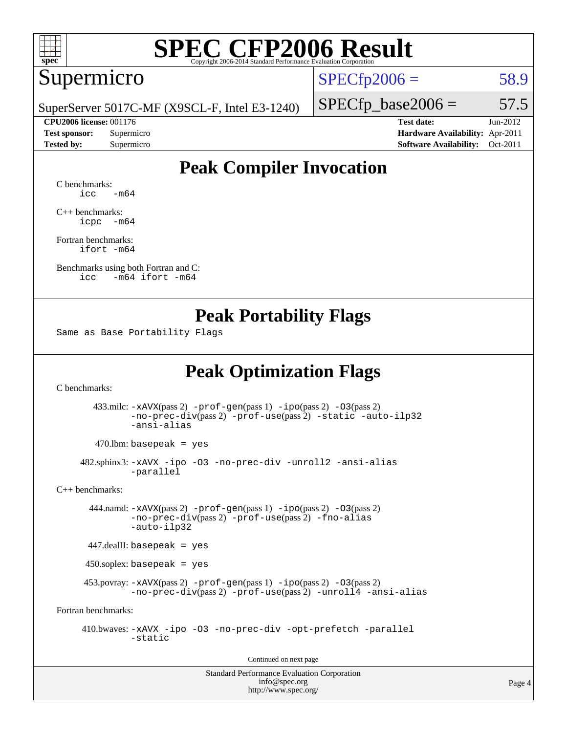

#### Supermicro

 $SPECTp2006 = 58.9$ 

SuperServer 5017C-MF (X9SCL-F, Intel E3-1240)

 $SPECTp\_base2006 = 57.5$ 

**[CPU2006 license:](http://www.spec.org/auto/cpu2006/Docs/result-fields.html#CPU2006license)** 001176 **[Test date:](http://www.spec.org/auto/cpu2006/Docs/result-fields.html#Testdate)** Jun-2012 **[Test sponsor:](http://www.spec.org/auto/cpu2006/Docs/result-fields.html#Testsponsor)** Supermicro **[Hardware Availability:](http://www.spec.org/auto/cpu2006/Docs/result-fields.html#HardwareAvailability)** Apr-2011 **[Tested by:](http://www.spec.org/auto/cpu2006/Docs/result-fields.html#Testedby)** Supermicro **[Software Availability:](http://www.spec.org/auto/cpu2006/Docs/result-fields.html#SoftwareAvailability)** Oct-2011

#### **[Peak Compiler Invocation](http://www.spec.org/auto/cpu2006/Docs/result-fields.html#PeakCompilerInvocation)**

[C benchmarks](http://www.spec.org/auto/cpu2006/Docs/result-fields.html#Cbenchmarks):  $\text{icc}$   $-\text{m64}$ 

[C++ benchmarks:](http://www.spec.org/auto/cpu2006/Docs/result-fields.html#CXXbenchmarks) [icpc -m64](http://www.spec.org/cpu2006/results/res2012q3/cpu2006-20120618-23039.flags.html#user_CXXpeak_intel_icpc_64bit_bedb90c1146cab66620883ef4f41a67e)

[Fortran benchmarks](http://www.spec.org/auto/cpu2006/Docs/result-fields.html#Fortranbenchmarks): [ifort -m64](http://www.spec.org/cpu2006/results/res2012q3/cpu2006-20120618-23039.flags.html#user_FCpeak_intel_ifort_64bit_ee9d0fb25645d0210d97eb0527dcc06e)

[Benchmarks using both Fortran and C](http://www.spec.org/auto/cpu2006/Docs/result-fields.html#BenchmarksusingbothFortranandC): [icc -m64](http://www.spec.org/cpu2006/results/res2012q3/cpu2006-20120618-23039.flags.html#user_CC_FCpeak_intel_icc_64bit_0b7121f5ab7cfabee23d88897260401c) [ifort -m64](http://www.spec.org/cpu2006/results/res2012q3/cpu2006-20120618-23039.flags.html#user_CC_FCpeak_intel_ifort_64bit_ee9d0fb25645d0210d97eb0527dcc06e)

#### **[Peak Portability Flags](http://www.spec.org/auto/cpu2006/Docs/result-fields.html#PeakPortabilityFlags)**

Same as Base Portability Flags

### **[Peak Optimization Flags](http://www.spec.org/auto/cpu2006/Docs/result-fields.html#PeakOptimizationFlags)**

[C benchmarks](http://www.spec.org/auto/cpu2006/Docs/result-fields.html#Cbenchmarks):

 433.milc: [-xAVX](http://www.spec.org/cpu2006/results/res2012q3/cpu2006-20120618-23039.flags.html#user_peakPASS2_CFLAGSPASS2_LDFLAGS433_milc_f-xAVX)(pass 2) [-prof-gen](http://www.spec.org/cpu2006/results/res2012q3/cpu2006-20120618-23039.flags.html#user_peakPASS1_CFLAGSPASS1_LDFLAGS433_milc_prof_gen_e43856698f6ca7b7e442dfd80e94a8fc)(pass 1) [-ipo](http://www.spec.org/cpu2006/results/res2012q3/cpu2006-20120618-23039.flags.html#user_peakPASS2_CFLAGSPASS2_LDFLAGS433_milc_f-ipo)(pass 2) [-O3](http://www.spec.org/cpu2006/results/res2012q3/cpu2006-20120618-23039.flags.html#user_peakPASS2_CFLAGSPASS2_LDFLAGS433_milc_f-O3)(pass 2) [-no-prec-div](http://www.spec.org/cpu2006/results/res2012q3/cpu2006-20120618-23039.flags.html#user_peakPASS2_CFLAGSPASS2_LDFLAGS433_milc_f-no-prec-div)(pass 2) [-prof-use](http://www.spec.org/cpu2006/results/res2012q3/cpu2006-20120618-23039.flags.html#user_peakPASS2_CFLAGSPASS2_LDFLAGS433_milc_prof_use_bccf7792157ff70d64e32fe3e1250b55)(pass 2) [-static](http://www.spec.org/cpu2006/results/res2012q3/cpu2006-20120618-23039.flags.html#user_peakOPTIMIZE433_milc_f-static) [-auto-ilp32](http://www.spec.org/cpu2006/results/res2012q3/cpu2006-20120618-23039.flags.html#user_peakCOPTIMIZE433_milc_f-auto-ilp32) [-ansi-alias](http://www.spec.org/cpu2006/results/res2012q3/cpu2006-20120618-23039.flags.html#user_peakCOPTIMIZE433_milc_f-ansi-alias)

 $470.$ lbm: basepeak = yes

 482.sphinx3: [-xAVX](http://www.spec.org/cpu2006/results/res2012q3/cpu2006-20120618-23039.flags.html#user_peakOPTIMIZE482_sphinx3_f-xAVX) [-ipo](http://www.spec.org/cpu2006/results/res2012q3/cpu2006-20120618-23039.flags.html#user_peakOPTIMIZE482_sphinx3_f-ipo) [-O3](http://www.spec.org/cpu2006/results/res2012q3/cpu2006-20120618-23039.flags.html#user_peakOPTIMIZE482_sphinx3_f-O3) [-no-prec-div](http://www.spec.org/cpu2006/results/res2012q3/cpu2006-20120618-23039.flags.html#user_peakOPTIMIZE482_sphinx3_f-no-prec-div) [-unroll2](http://www.spec.org/cpu2006/results/res2012q3/cpu2006-20120618-23039.flags.html#user_peakCOPTIMIZE482_sphinx3_f-unroll_784dae83bebfb236979b41d2422d7ec2) [-ansi-alias](http://www.spec.org/cpu2006/results/res2012q3/cpu2006-20120618-23039.flags.html#user_peakCOPTIMIZE482_sphinx3_f-ansi-alias) [-parallel](http://www.spec.org/cpu2006/results/res2012q3/cpu2006-20120618-23039.flags.html#user_peakCOPTIMIZE482_sphinx3_f-parallel)

[C++ benchmarks:](http://www.spec.org/auto/cpu2006/Docs/result-fields.html#CXXbenchmarks)

 444.namd: [-xAVX](http://www.spec.org/cpu2006/results/res2012q3/cpu2006-20120618-23039.flags.html#user_peakPASS2_CXXFLAGSPASS2_LDFLAGS444_namd_f-xAVX)(pass 2) [-prof-gen](http://www.spec.org/cpu2006/results/res2012q3/cpu2006-20120618-23039.flags.html#user_peakPASS1_CXXFLAGSPASS1_LDFLAGS444_namd_prof_gen_e43856698f6ca7b7e442dfd80e94a8fc)(pass 1) [-ipo](http://www.spec.org/cpu2006/results/res2012q3/cpu2006-20120618-23039.flags.html#user_peakPASS2_CXXFLAGSPASS2_LDFLAGS444_namd_f-ipo)(pass 2) [-O3](http://www.spec.org/cpu2006/results/res2012q3/cpu2006-20120618-23039.flags.html#user_peakPASS2_CXXFLAGSPASS2_LDFLAGS444_namd_f-O3)(pass 2) [-no-prec-div](http://www.spec.org/cpu2006/results/res2012q3/cpu2006-20120618-23039.flags.html#user_peakPASS2_CXXFLAGSPASS2_LDFLAGS444_namd_f-no-prec-div)(pass 2) [-prof-use](http://www.spec.org/cpu2006/results/res2012q3/cpu2006-20120618-23039.flags.html#user_peakPASS2_CXXFLAGSPASS2_LDFLAGS444_namd_prof_use_bccf7792157ff70d64e32fe3e1250b55)(pass 2) [-fno-alias](http://www.spec.org/cpu2006/results/res2012q3/cpu2006-20120618-23039.flags.html#user_peakCXXOPTIMIZEOPTIMIZE444_namd_f-no-alias_694e77f6c5a51e658e82ccff53a9e63a) [-auto-ilp32](http://www.spec.org/cpu2006/results/res2012q3/cpu2006-20120618-23039.flags.html#user_peakCXXOPTIMIZE444_namd_f-auto-ilp32)

447.dealII: basepeak = yes

450.soplex: basepeak = yes

 453.povray: [-xAVX](http://www.spec.org/cpu2006/results/res2012q3/cpu2006-20120618-23039.flags.html#user_peakPASS2_CXXFLAGSPASS2_LDFLAGS453_povray_f-xAVX)(pass 2) [-prof-gen](http://www.spec.org/cpu2006/results/res2012q3/cpu2006-20120618-23039.flags.html#user_peakPASS1_CXXFLAGSPASS1_LDFLAGS453_povray_prof_gen_e43856698f6ca7b7e442dfd80e94a8fc)(pass 1) [-ipo](http://www.spec.org/cpu2006/results/res2012q3/cpu2006-20120618-23039.flags.html#user_peakPASS2_CXXFLAGSPASS2_LDFLAGS453_povray_f-ipo)(pass 2) [-O3](http://www.spec.org/cpu2006/results/res2012q3/cpu2006-20120618-23039.flags.html#user_peakPASS2_CXXFLAGSPASS2_LDFLAGS453_povray_f-O3)(pass 2) [-no-prec-div](http://www.spec.org/cpu2006/results/res2012q3/cpu2006-20120618-23039.flags.html#user_peakPASS2_CXXFLAGSPASS2_LDFLAGS453_povray_f-no-prec-div)(pass 2) [-prof-use](http://www.spec.org/cpu2006/results/res2012q3/cpu2006-20120618-23039.flags.html#user_peakPASS2_CXXFLAGSPASS2_LDFLAGS453_povray_prof_use_bccf7792157ff70d64e32fe3e1250b55)(pass 2) [-unroll4](http://www.spec.org/cpu2006/results/res2012q3/cpu2006-20120618-23039.flags.html#user_peakCXXOPTIMIZE453_povray_f-unroll_4e5e4ed65b7fd20bdcd365bec371b81f) [-ansi-alias](http://www.spec.org/cpu2006/results/res2012q3/cpu2006-20120618-23039.flags.html#user_peakCXXOPTIMIZE453_povray_f-ansi-alias)

[Fortran benchmarks](http://www.spec.org/auto/cpu2006/Docs/result-fields.html#Fortranbenchmarks):

 410.bwaves: [-xAVX](http://www.spec.org/cpu2006/results/res2012q3/cpu2006-20120618-23039.flags.html#user_peakOPTIMIZE410_bwaves_f-xAVX) [-ipo](http://www.spec.org/cpu2006/results/res2012q3/cpu2006-20120618-23039.flags.html#user_peakOPTIMIZE410_bwaves_f-ipo) [-O3](http://www.spec.org/cpu2006/results/res2012q3/cpu2006-20120618-23039.flags.html#user_peakOPTIMIZE410_bwaves_f-O3) [-no-prec-div](http://www.spec.org/cpu2006/results/res2012q3/cpu2006-20120618-23039.flags.html#user_peakOPTIMIZE410_bwaves_f-no-prec-div) [-opt-prefetch](http://www.spec.org/cpu2006/results/res2012q3/cpu2006-20120618-23039.flags.html#user_peakOPTIMIZE410_bwaves_f-opt-prefetch) [-parallel](http://www.spec.org/cpu2006/results/res2012q3/cpu2006-20120618-23039.flags.html#user_peakOPTIMIZE410_bwaves_f-parallel) [-static](http://www.spec.org/cpu2006/results/res2012q3/cpu2006-20120618-23039.flags.html#user_peakOPTIMIZE410_bwaves_f-static)

Continued on next page

Standard Performance Evaluation Corporation [info@spec.org](mailto:info@spec.org) <http://www.spec.org/>

Page 4